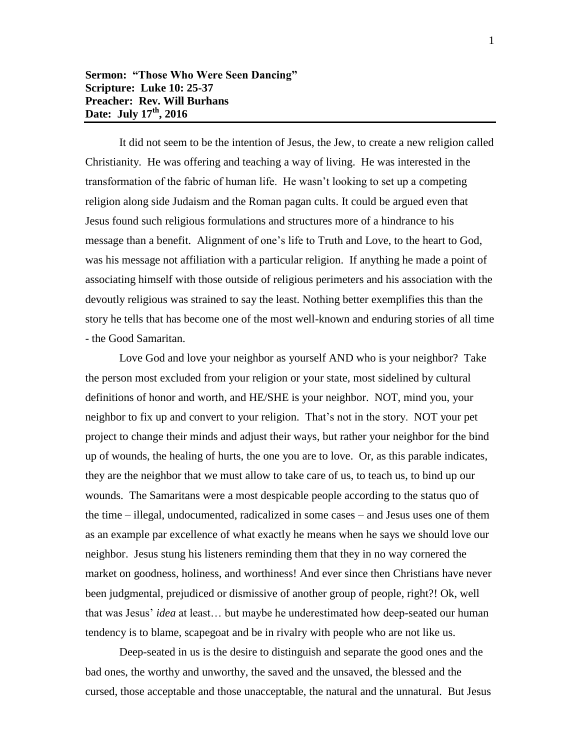## **Sermon: "Those Who Were Seen Dancing" Scripture: Luke 10: 25-37 Preacher: Rev. Will Burhans Date: July 17 th, 2016**

It did not seem to be the intention of Jesus, the Jew, to create a new religion called Christianity. He was offering and teaching a way of living. He was interested in the transformation of the fabric of human life. He wasn't looking to set up a competing religion along side Judaism and the Roman pagan cults. It could be argued even that Jesus found such religious formulations and structures more of a hindrance to his message than a benefit. Alignment of one's life to Truth and Love, to the heart to God, was his message not affiliation with a particular religion. If anything he made a point of associating himself with those outside of religious perimeters and his association with the devoutly religious was strained to say the least. Nothing better exemplifies this than the story he tells that has become one of the most well-known and enduring stories of all time - the Good Samaritan.

Love God and love your neighbor as yourself AND who is your neighbor? Take the person most excluded from your religion or your state, most sidelined by cultural definitions of honor and worth, and HE/SHE is your neighbor. NOT, mind you, your neighbor to fix up and convert to your religion. That's not in the story. NOT your pet project to change their minds and adjust their ways, but rather your neighbor for the bind up of wounds, the healing of hurts, the one you are to love. Or, as this parable indicates, they are the neighbor that we must allow to take care of us, to teach us, to bind up our wounds. The Samaritans were a most despicable people according to the status quo of the time – illegal, undocumented, radicalized in some cases – and Jesus uses one of them as an example par excellence of what exactly he means when he says we should love our neighbor. Jesus stung his listeners reminding them that they in no way cornered the market on goodness, holiness, and worthiness! And ever since then Christians have never been judgmental, prejudiced or dismissive of another group of people, right?! Ok, well that was Jesus' *idea* at least… but maybe he underestimated how deep-seated our human tendency is to blame, scapegoat and be in rivalry with people who are not like us.

Deep-seated in us is the desire to distinguish and separate the good ones and the bad ones, the worthy and unworthy, the saved and the unsaved, the blessed and the cursed, those acceptable and those unacceptable, the natural and the unnatural. But Jesus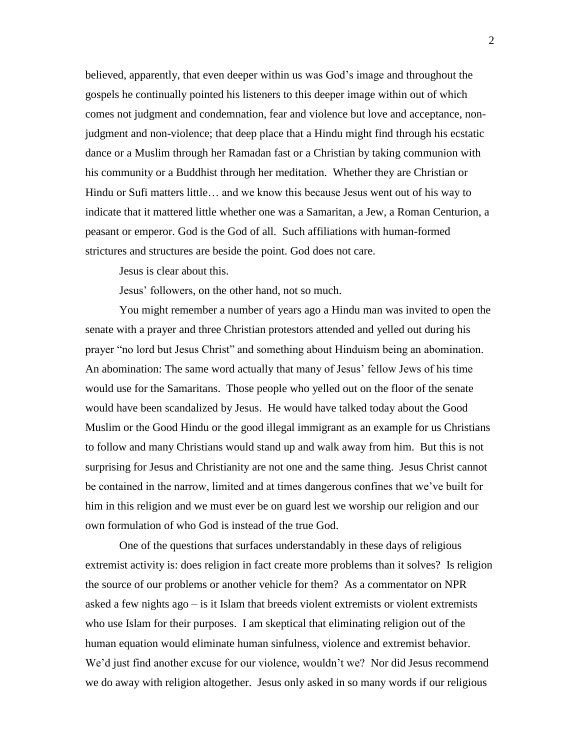believed, apparently, that even deeper within us was God's image and throughout the gospels he continually pointed his listeners to this deeper image within out of which comes not judgment and condemnation, fear and violence but love and acceptance, nonjudgment and non-violence; that deep place that a Hindu might find through his ecstatic dance or a Muslim through her Ramadan fast or a Christian by taking communion with his community or a Buddhist through her meditation. Whether they are Christian or Hindu or Sufi matters little… and we know this because Jesus went out of his way to indicate that it mattered little whether one was a Samaritan, a Jew, a Roman Centurion, a peasant or emperor. God is the God of all. Such affiliations with human-formed strictures and structures are beside the point. God does not care.

Jesus is clear about this.

Jesus' followers, on the other hand, not so much.

You might remember a number of years ago a Hindu man was invited to open the senate with a prayer and three Christian protestors attended and yelled out during his prayer "no lord but Jesus Christ" and something about Hinduism being an abomination. An abomination: The same word actually that many of Jesus' fellow Jews of his time would use for the Samaritans. Those people who yelled out on the floor of the senate would have been scandalized by Jesus. He would have talked today about the Good Muslim or the Good Hindu or the good illegal immigrant as an example for us Christians to follow and many Christians would stand up and walk away from him. But this is not surprising for Jesus and Christianity are not one and the same thing. Jesus Christ cannot be contained in the narrow, limited and at times dangerous confines that we've built for him in this religion and we must ever be on guard lest we worship our religion and our own formulation of who God is instead of the true God.

One of the questions that surfaces understandably in these days of religious extremist activity is: does religion in fact create more problems than it solves? Is religion the source of our problems or another vehicle for them? As a commentator on NPR asked a few nights ago – is it Islam that breeds violent extremists or violent extremists who use Islam for their purposes. I am skeptical that eliminating religion out of the human equation would eliminate human sinfulness, violence and extremist behavior. We'd just find another excuse for our violence, wouldn't we? Nor did Jesus recommend we do away with religion altogether. Jesus only asked in so many words if our religious